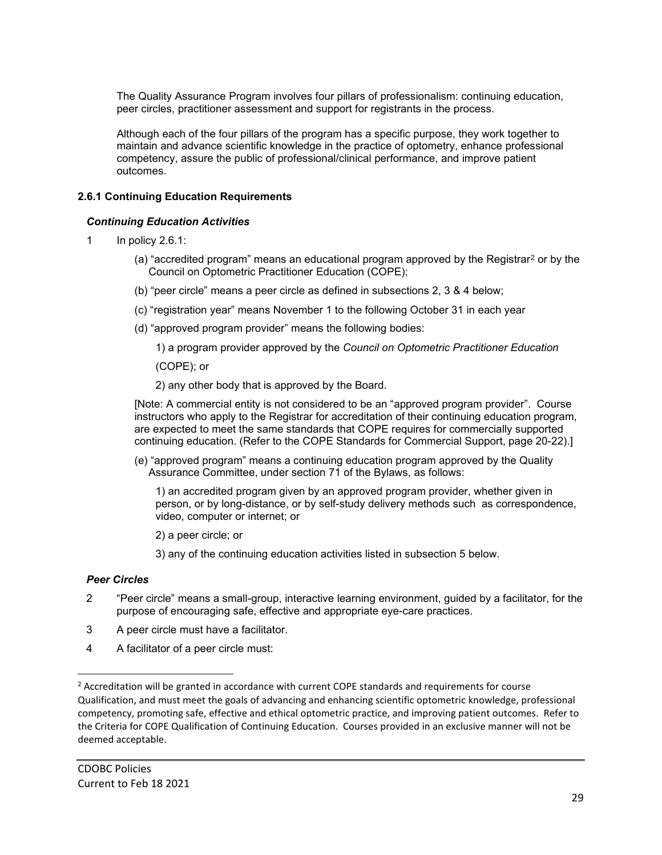The Quality Assurance Program involves four pillars of professionalism: continuing education, peer circles, practitioner assessment and support for registrants in the process.

Although each of the four pillars of the program has a specific purpose, they work together to maintain and advance scientific knowledge in the practice of optometry, enhance professional competency, assure the public of professional/clinical performance, and improve patient outcomes.

# **2.6.1 Continuing Education Requirements**

### *Continuing Education Activities*

- 1 In policy 2.6.1:
	- (a) "accredited program" means an educational program approved by the Registrar<sup>[2](#page-0-0)</sup> or by the Council on Optometric Practitioner Education (COPE);
	- (b) "peer circle" means a peer circle as defined in subsections 2, 3 & 4 below;
	- (c) "registration year" means November 1 to the following October 31 in each year
	- (d) "approved program provider" means the following bodies:

1) a program provider approved by the *Council on Optometric Practitioner Education*

(COPE); or

2) any other body that is approved by the Board.

[Note: A commercial entity is not considered to be an "approved program provider". Course instructors who apply to the Registrar for accreditation of their continuing education program, are expected to meet the same standards that COPE requires for commercially supported continuing education. (Refer to the COPE Standards for Commercial Support, page 20-22).]

(e) "approved program" means a continuing education program approved by the Quality Assurance Committee, under section 71 of the Bylaws, as follows:

1) an accredited program given by an approved program provider, whether given in person, or by long-distance, or by self-study delivery methods such as correspondence, video, computer or internet; or

2) a peer circle; or

3) any of the continuing education activities listed in subsection 5 below.

#### *Peer Circles*

- 2 "Peer circle" means a small-group, interactive learning environment, guided by a facilitator, for the purpose of encouraging safe, effective and appropriate eye-care practices.
- 3 A peer circle must have a facilitator.
- 4 A facilitator of a peer circle must:

<span id="page-0-0"></span><sup>&</sup>lt;sup>2</sup> Accreditation will be granted in accordance with current COPE standards and requirements for course Qualification, and must meet the goals of advancing and enhancing scientific optometric knowledge, professional competency, promoting safe, effective and ethical optometric practice, and improving patient outcomes. Refer to the Criteria for COPE Qualification of Continuing Education. Courses provided in an exclusive manner will not be deemed acceptable.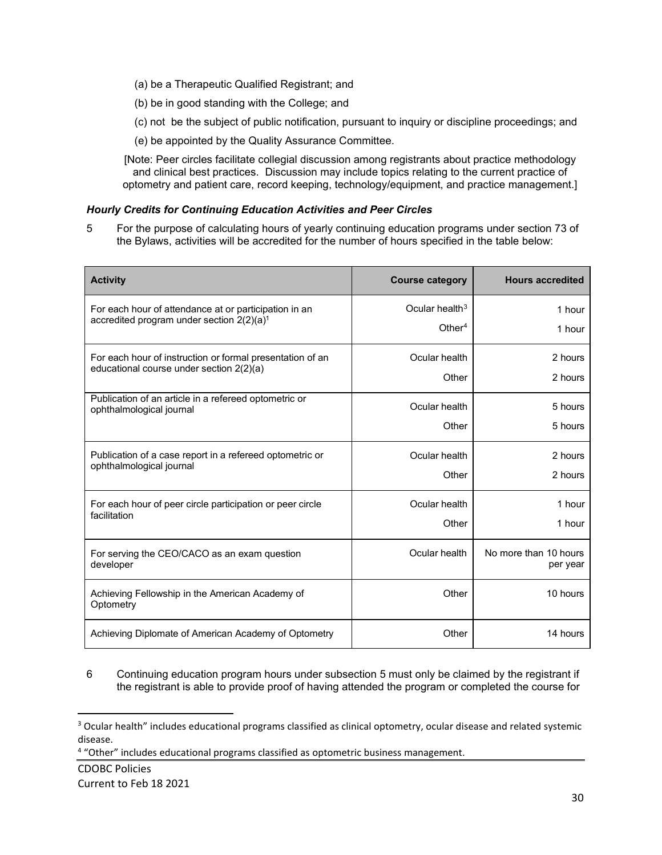- (a) be a Therapeutic Qualified Registrant; and
- (b) be in good standing with the College; and
- (c) not be the subject of public notification, pursuant to inquiry or discipline proceedings; and
- (e) be appointed by the Quality Assurance Committee.

[Note: Peer circles facilitate collegial discussion among registrants about practice methodology and clinical best practices. Discussion may include topics relating to the current practice of optometry and patient care, record keeping, technology/equipment, and practice management.]

### *Hourly Credits for Continuing Education Activities and Peer Circles*

5 For the purpose of calculating hours of yearly continuing education programs under section 73 of the Bylaws, activities will be accredited for the number of hours specified in the table below:

| <b>Activity</b>                                                                                         | <b>Course category</b>                  | <b>Hours accredited</b>           |
|---------------------------------------------------------------------------------------------------------|-----------------------------------------|-----------------------------------|
| For each hour of attendance at or participation in an<br>accredited program under section $2(2)(a)^{1}$ | Ocular health $3$<br>Other <sup>4</sup> | 1 hour<br>1 hour                  |
| For each hour of instruction or formal presentation of an<br>educational course under section 2(2)(a)   | Ocular health                           | 2 hours                           |
|                                                                                                         | Other                                   | 2 hours                           |
| Publication of an article in a refereed optometric or<br>ophthalmological journal                       | Ocular health                           | 5 hours                           |
|                                                                                                         | Other                                   | 5 hours                           |
| Publication of a case report in a refereed optometric or<br>ophthalmological journal                    | Ocular health<br>Other                  | 2 hours<br>2 hours                |
|                                                                                                         |                                         |                                   |
| For each hour of peer circle participation or peer circle<br>facilitation                               | Ocular health<br>Other                  | 1 hour<br>1 hour                  |
| For serving the CEO/CACO as an exam question<br>developer                                               | Ocular health                           | No more than 10 hours<br>per year |
| Achieving Fellowship in the American Academy of<br>Optometry                                            | Other                                   | 10 hours                          |
| Achieving Diplomate of American Academy of Optometry                                                    | Other                                   | 14 hours                          |

6 Continuing education program hours under subsection 5 must only be claimed by the registrant if the registrant is able to provide proof of having attended the program or completed the course for

<span id="page-1-0"></span><sup>&</sup>lt;sup>3</sup> Ocular health" includes educational programs classified as clinical optometry, ocular disease and related systemic

<span id="page-1-1"></span>disease.<br><sup>4</sup> "Other" includes educational programs classified as optometric business management.